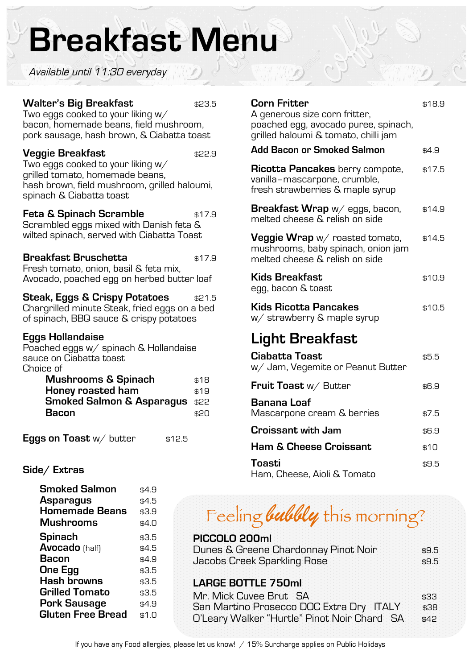# **Breakfast Menu**

Available until 11:30 everyday

#### **Walter's Big Breakfast** \$23.5

Two eggs cooked to your liking w/ bacon, homemade beans, field mushroom, pork sausage, hash brown, & Ciabatta toast

#### **Veggie Breakfast** \$22.9

Two eggs cooked to your liking w/ grilled tomato, homemade beans, hash brown, field mushroom, grilled haloumi, spinach & Ciabatta toast

**Feta & Spinach Scramble**  $$^{17.9}$ Scrambled eggs mixed with Danish feta & wilted spinach, served with Ciabatta Toast

#### **Breakfast Bruschetta** \$17.9

Fresh tomato, onion, basil & feta mix, Avocado, poached egg on herbed butter loaf

### **Steak, Eggs & Crispy Potatoes** \$21.5

Chargrilled minute Steak, fried eggs on a bed of spinach, BBQ sauce & crispy potatoes

#### **Eggs Hollandaise**

Poached eggs w/ spinach & Hollandaise sauce on Ciabatta toast Choice of

| \$18                                      |
|-------------------------------------------|
| \$19                                      |
| <b>Smoked Salmon &amp; Asparagus \$22</b> |
| \$20                                      |
|                                           |

**Eggs on Toast**  $w/$  butter  $$12.5$ 

## **Side/ Extras**

| <b>Smoked Salmon</b>     | \$4.9 |
|--------------------------|-------|
| Asparagus                | \$4.5 |
| <b>Homemade Beans</b>    | \$3.9 |
| <b>Mushrooms</b>         | \$4.0 |
| Spinach                  | \$3.5 |
| <b>Avocado</b> (half)    | \$4.5 |
| Bacon                    | \$4.9 |
| <b>One Egg</b>           | \$3.5 |
| <b>Hash browns</b>       | \$3.5 |
| <b>Grilled Tomato</b>    | \$3.5 |
| <b>Pork Sausage</b>      | \$4.9 |
| <b>Gluten Free Bread</b> | \$1.0 |

# **Corn Fritter** \$18.9 A generous size corn fritter, poached egg, avocado puree, spinach, grilled haloumi & tomato, chilli jam **Add Bacon or Smoked Salmon** \$4.9 **Ricotta Pancakes** berry compote, \$17.5 vanilla–mascarpone, crumble, fresh strawberries & maple syrup **Breakfast Wrap** w/eggs, bacon, \$14.9 melted cheese & relish on side **Veggie Wrap**  $w/$  roasted tomato,  $$14.5$ mushrooms, baby spinach, onion jam melted cheese & relish on side **Kids Breakfast** \$10.9 egg, bacon & toast **Kids Ricotta Pancakes \$10.5** w/ strawberry & maple syrup **Light Breakfast Ciabatta Toast** \$5.5 w/ Jam, Vegemite or Peanut Butter **Fruit Toast** w/ Butter \$6.9

| <b>Fruit Toast</b> W/ Butter                     | 56.Y  |
|--------------------------------------------------|-------|
| <b>Banana Loaf</b><br>Mascarpone cream & berries | \$7.5 |
| <b>Croissant with Jam</b>                        | \$6.9 |
| <b>Ham &amp; Cheese Croissant</b>                | \$10  |
| Toasti<br>$\blacksquare$                         | \$9.5 |

Ham, Cheese, Aioli & Tomato

# Feeling **bubbly** this morning?

| PICCOLO 200ml                        |       |
|--------------------------------------|-------|
| Dunes & Greene Chardonnay Pinot Noir | \$9.5 |
| Jacobs Creek Sparkling Rose          | \$9.5 |
| $\blacksquare$ A DOE DOTTLE JEQ      |       |

### **LARGE BOTTLE 750ml**

| Mr. Mick Cuvee Brut SA                      | \$33.  |
|---------------------------------------------|--------|
| San Martino Prosecco DOC Extra Dry ITALY    | \$38   |
| O'Leary Walker "Hurtle" Pinot Noir Chard SA | - \$42 |